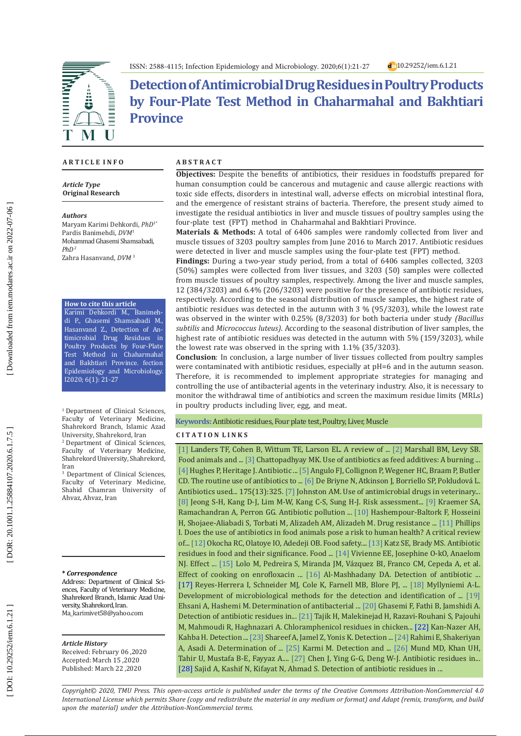

**Detection of Antimicrobial Drug Residues in Poultry Products by Four-Plate Test Method in Chaharmahal and Bakhtiari Province**

### **A R T I C L E I N F O**

*Article Type* **Original Research**

*Authors*

Maryam Karimi Dehkordi, *PhD*1\* Pardis Banimehdi, *DVM* 1 Mohammad Ghasemi Shamsabadi, *PhD*  2 Zahra Hasanvand, *DVM*  3

**How to cite this article**

Karimi Dehkordi M., Banimeh di P., Ghasemi Shamsabadi M., Hasanvand Z., Detection of An timicrobial Drug Residues in Poultry Products by Four-Plate Test Method in Chaharmahal and Bakhtiari Province. fection Epidemiology and Microbiology. I2020; 6(1): 21-27

<sup>1</sup> Department of Clinical Sciences, Faculty of Veterinary Medicine, Shahrekord Branch, Islamic Azad University, Shahrekord, Iran

2 Department of Clinical Sciences, Faculty of Veterinary Medicine, Shahrekord University, Shahrekord, Iran

3 Department of Clinical Sciences, Faculty of Veterinary Medicine, Shahid Chamran University of Ahvaz, Ahvaz, Iran

#### **\*** *Correspondence*

Address: Department of Clinical Sci ences, Faculty of Veterinary Medicine, Shahrekord Branch, Islamic Azad Uni versity, Shahrekord, Iran. [Ma\\_karimivet58@yahoo.com](mailto:Ma_karimivet58@yahoo.com)

#### *Article History*

Received: February 06 ,2020 Accepted: March 15 ,2020 Published: March 22 ,2020

### **A B S T R A C T**

**Objectives:** Despite the benefits of antibiotics, their residues in foodstuffs prepared for human consumption could be cancerous and mutagenic and cause allergic reactions with toxic side effects, disorders in intestinal wall, adverse effects on microbial intestinal flora, and the emergence of resistant strains of bacteria. Therefore, the present study aimed to investigate the residual antibiotics in liver and muscle tissues of poultry samples using the four-plate test (FPT) method in Chaharmahal and Bakhtiari Province.

**Materials & Methods:** A total of 6406 samples were randomly collected from liver and muscle tissues of 3203 poultry samples from June 2016 to March 2017. Antibiotic residues were detected in liver and muscle samples using the four-plate test (FPT) method.

**Findings:** During a two-year study period, from a total of 6406 samples collected, 3203 (50%) samples were collected from liver tissues, and 3203 (50) samples were collected from muscle tissues of poultry samples, respectively. Among the liver and muscle samples, 12 (384/3203) and 6.4% (206/3203) were positive for the presence of antibiotic residues, respectively. According to the seasonal distribution of muscle samples, the highest rate of antibiotic residues was detected in the autumn with 3 % (95/3203), while the lowest rate was observed in the winter with 0.25% (8/3203) for both bacteria under study *(Bacillus subtilis* and *Micrococcus luteus)*. According to the seasonal distribution of liver samples, the highest rate of antibiotic residues was detected in the autumn with 5% (159/3203), while the lowest rate was observed in the spring with 1.1% (35/3203).

**Conclusion**: In conclusion, a large number of liver tissues collected from poultry samples were contaminated with antibiotic residues, especially at pH=6 and in the autumn season. Therefore, it is recommended to implement appropriate strategies for managing and controlling the use of antibacterial agents in the veterinary industry. Also, it is necessary to monitor the withdrawal time of antibiotics and screen the maximum residue limits (MRLs) in poultry products including liver, egg, and meat.

#### **Keywords:** Antibiotic residues, Four plate test, Poultry, Liver, Muscle

### **C I T A T I O N L I N K S**

[\[1\]](https://journals.sagepub.com/doi/abs/10.1177/003335491212700103) Landers TF, Cohen B, Wittum TE, Larson EL. A review of ... [\[2\]](https://cmr.asm.org/content/24/4/718.short) Marshall BM, Levy SB. Food animals and ... [\[3\]](https://www.frontiersin.org/articles/10.3389/fmicb.2014.00334/full) Chattopadhyay MK. Use of antibiotics as feed additives: A burning ... [\[4\] H](https://books.google.com/books?hl=en&lr=&id=50He6gIBcKYC&oi=fnd&pg=PA129&dq=Hughes+P,+Heritage+J.+Antibiotic+growth-promoters+in+food+animals.+FAO+Anim+Prod+Health+Paper.+2004:129-52.&ots=v9PrzYHFXs&sig=CmtwDC7424Fr74vsR5_dsh1BBnM#v=onepage&q&f=false)ughes P, Heritage J. Antibiotic ... [\[5\]](https://academic.oup.com/cid/article/41/7/1007/306577) Angulo FJ, Collignon P, Wegener HC, Braam P, Butler CD. The routine use of antibiotics to ... [\[6\]](https://www.ncbi.nlm.nih.gov/pmc/articles/PMC4215272/) De Briyne N, Atkinson J, Borriello SP, Pokludová L. Antibiotics used... 175(13):325. [\[7\]](https://pubmed.ncbi.nlm.nih.gov/9728002/) Johnston AM. Use of antimicrobial drugs in veterinary... [\[8\]](https://link.springer.com/article/10.5487/TR.2010.26.4.301) Jeong S-H, Kang D-J, Lim M-W, Kang C-S, Sung H-J. Risk assessment... [\[9\]](https://www.mdpi.com/2076-2607/7/6/180) Kraemer SA, Ramachandran A, Perron GG. Antibiotic pollution ... [\[10\]](https://www.ncbi.nlm.nih.gov/pmc/articles/PMC6773942/) Hashempour-Baltork F, Hosseini H, Shojaee-Aliabadi S, Torbati M, Alizadeh AM, Alizadeh M. Drug resistance ... [\[11\]](https://academic.oup.com/jac/article/53/1/28/680882) Phillips I. Does the use of antibiotics in food animals pose a risk to human health? A critical review of... [\[12\]](https://publichealthreviews.biomedcentral.com/articles/10.1186/s40985-018-0099-2) Okocha RC, Olatoye IO, Adedeji OB. Food safety.... [\[13\]](https://www.tandfonline.com/doi/abs/10.1080/08905430009549985) Katz SE, Brady MS. Antibiotic residues in food and their significance. Food ... [\[14\]](https://www.ncbi.nlm.nih.gov/pmc/articles/PMC5891869/) Vivienne EE, Josephine O-kO, Anaelom NJ. Effect ... [\[15\]](https://pubmed.ncbi.nlm.nih.gov/16982520/) Lolo M, Pedreira S, Miranda JM, Vázquez BI, Franco CM, Cepeda A, et al. Effect of cooking on enrofloxacin ... [\[16\]](https://www.ncbi.nlm.nih.gov/pmc/articles/PMC6452087/) Al-Mashhadany DA. Detection of antibiotic ... [\[17\]](https://pubmed.ncbi.nlm.nih.gov/16245733/) Reyes-Herrera I, Schneider MJ, Cole K, Farnell MB, Blore PJ, ... [\[18\]](https://researchportal.helsinki.fi/en/publications/development-of-microbiological-methods-for-the-detection-and-iden) Myllyniemi A-L. Development of microbiological methods for the detection and identification of ... [\[19\]](http://jfqhc.ssu.ac.ir/browse.php?a_id=147&sid=1&slc_lang=en) Ehsani A, Hashemi M. Determination of antibacterial ... [\[20\]](https://ijvst.um.ac.ir/index.php/veterinary/article/view/26316) Ghasemi F, Fathi B, Jamshidi A. Detection of antibiotic residues in... [\[21\]](https://pubmed.ncbi.nlm.nih.gov/20600543/) Tajik H, Malekinejad H, Razavi-Rouhani S, Pajouhi M, Mahmoudi R, Haghnazari A. Chloramphenicol residues in chicken... [\[22\]](https://jvr.ut.ac.ir/article_16381.html) Kan-Nazer AH, Kahba H. Detection ... [\[23\]](https://pdfs.semanticscholar.org/381d/8cabd5f59c58aa8901cd437e7b786c6fa3e5.pdf) Shareef A, Jamel Z, Yonis K. Detection ... [\[24\]](http://nnj.mums.ac.ir/article_8989_en.html) Rahimi E, Shakeriyan A, Asadi A. Determination of ... [\[25\]](https://www.researchgate.net/publication/288804488_Detection_and_presumptive_identification_of_antibiotic_residues_in_poultry_meat_by_using_FPT) Karmi M. Detection and ... [\[26\]](https://www.tandfonline.com/doi/full/10.1080/10942912.2016.1212874) Mund MD, Khan UH, Tahir U, Mustafa B-E, Fayyaz A.... [\[27\]](https://pubmed.ncbi.nlm.nih.gov/31198037/) Chen J, Ying G-G, Deng W-J. Antibiotic residues in... [\[28\]](https://pubmed.ncbi.nlm.nih.gov/27731830/) Sajid A, Kashif N, Kifayat N, Ahmad S. Detection of antibiotic residues in ...

*Copyright© 2020, TMU Press. This open-access article is published under the terms of the Creative Commons Attribution-NonCommercial 4.0 International License which permits Share (copy and redistribute the material in any medium or format) and Adapt (remix, transform, and build upon the material) under the Attribution-NonCommercial terms.*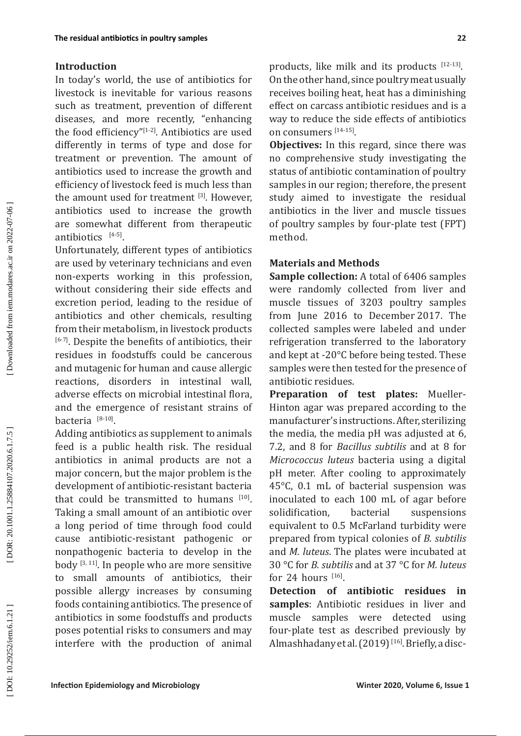### **Introduction**

In today's world, the use of antibiotics for livestock is inevitable for various reasons such as treatment, prevention of different diseases, and more recently, "enhancing the food efficiency" $[1-2]$ . Antibiotics are used differently in terms of type and dose for treatment or prevention. The amount of antibiotics used to increase the growth and efficiency of livestock feed is much less than the amount used for treatment [3]. However, antibiotics used to increase the growth are somewhat different from therapeutic antibiotics  $[4-5]$ .

Unfortunately, different types of antibiotics are used by veterinary technicians and even non-experts working in this profession, without considering their side effects and excretion period, leading to the residue of antibiotics and other chemicals, resulting from their metabolism, in livestock products [6-7]. Despite the benefits of antibiotics, their residues in foodstuffs could be cancerous and mutagenic for human and cause allergic reactions, disorders in intestinal wall, adverse effects on microbial intestinal flora, and the emergence of resistant strains of bacteria  $[8-10]$ .

Adding antibiotics as supplement to animals feed is a public health risk. The residual antibiotics in animal products are not a major concern, but the major problem is the development of antibiotic-resistant bacteria that could be transmitted to humans  $[10]$ . Taking a small amount of an antibiotic over a long period of time through food could cause antibiotic-resistant pathogenic or nonpathogenic bacteria to develop in the body [3, 11]. In people who are more sensitive to small amounts of antibiotics, their possible allergy increases by consuming foods containing antibiotics. The presence of antibiotics in some foodstuffs and products poses potential risks to consumers and may interfere with the production of animal products, like milk and its products [12-13]. On the other hand, since poultry meat usually receives boiling heat, heat has a diminishing effect on carcass antibiotic residues and is a way to reduce the side effects of antibiotics on consumers [14-15].

**Objectives:** In this regard, since there was no comprehensive study investigating the status of antibiotic contamination of poultry samples in our region; therefore, the present study aimed to investigate the residual antibiotics in the liver and muscle tissues of poultry samples by four-plate test (FPT) method.

## **Materials and Methods**

**Sample collection:** A total of 6406 samples were randomly collected from liver and muscle tissues of 3203 poultry samples from June 2016 to December 2017. The collected samples were labeled and under refrigeration transferred to the laboratory and kept at -20°C before being tested. These samples were then tested for the presence of antibiotic residues.

**Preparation of test plates:** Mueller-Hinton agar was prepared according to the manufacturer's instructions. After, sterilizing the media, the media pH was adjusted at 6, 7.2, and 8 for *Bacillus subtilis* and at 8 for *Micrococcus luteus* bacteria using a digital pH meter. After cooling to approximately 45°C, 0.1 mL of bacterial suspension was inoculated to each 100 mL of agar before solidification, bacterial suspensions equivalent to 0.5 McFarland turbidity were prepared from typical colonies of *B. subtilis* and *M. luteus*. The plates were incubated at 30 °C for *B. subtilis* and at 37 °C for *M. luteus* for 24 hours  $[16]$ .

**Detection of antibiotic residues in samples**: Antibiotic residues in liver and muscle samples were detected using four-plate test as described previously by Almashhadany et al. (2019)<sup>[16]</sup>. Briefly, a disc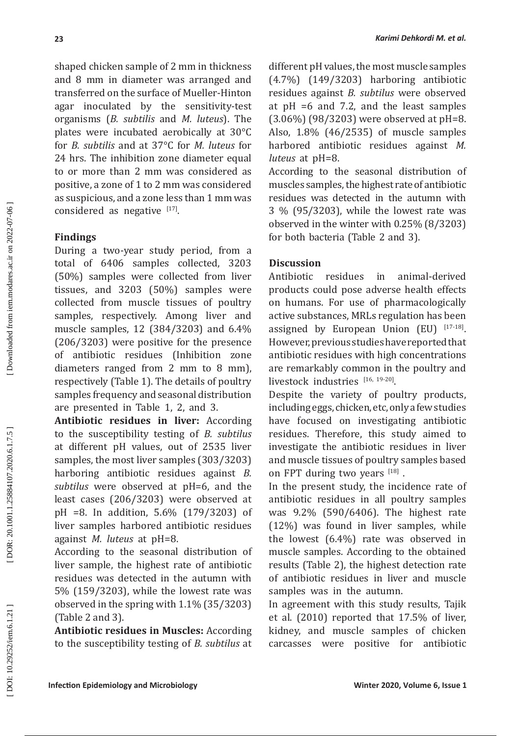shaped chicken sample of 2 mm in thickness and 8 mm in diameter was arranged and transferred on the surface of Mueller-Hinton agar inoculated by the sensitivity-test organisms (*B. subtilis* and *M. luteus*). The plates were incubated aerobically at 30°C for *B. subtilis* and at 37°C for *M. luteus* for 24 hrs. The inhibition zone diameter equal to or more than 2 mm was considered as positive, a zone of 1 to 2 mm was considered as suspicious, and a zone less than 1 mm was considered as negative  $[17]$ .

# **Findings**

During a two-year study period, from a total of 6406 samples collected, 3203 (50%) samples were collected from liver tissues, and 3203 (50%) samples were collected from muscle tissues of poultry samples, respectively. Among liver and muscle samples, 12 (384/3203) and 6.4% (206/3203) were positive for the presence of antibiotic residues (Inhibition zone diameters ranged from 2 mm to 8 mm), respectively (Table 1). The details of poultry samples frequency and seasonal distribution are presented in Table 1, 2, and 3.

**Antibiotic residues in liver:** According to the susceptibility testing of *B. subtilus* at different pH values, out of 2535 liver samples, the most liver samples (303/3203) harboring antibiotic residues against *B. subtilus* were observed at pH=6, and the least cases (206/3203) were observed at pH =8. In addition, 5.6% (179/3203) of liver samples harbored antibiotic residues against *M. luteus* at pH=8.

According to the seasonal distribution of liver sample, the highest rate of antibiotic residues was detected in the autumn with 5% (159/3203), while the lowest rate was observed in the spring with 1.1% (35/3203) (Table 2 and 3).

**Antibiotic residues in Muscles:** According to the susceptibility testing of *B. subtilus* at different pH values, the most muscle samples (4.7%) (149/3203) harboring antibiotic residues against *B. subtilus* were observed at pH =6 and 7.2, and the least samples (3.06%) (98/3203) were observed at pH=8. Also, 1.8% (46/2535) of muscle samples harbored antibiotic residues against *M. luteus* at pH=8.

*Karimi Dehkordi M. et al.*

According to the seasonal distribution of muscles samples, the highest rate of antibiotic residues was detected in the autumn with 3 % (95/3203), while the lowest rate was observed in the winter with 0.25% (8/3203) for both bacteria (Table 2 and 3).

# **Discussion**

Antibiotic residues in animal-derived products could pose adverse health effects on humans. For use of pharmacologically active substances, MRLs regulation has been assigned by European Union (EU)  $[17-18]$ . However, previous studies have reported that antibiotic residues with high concentrations are [remarkably](https://www.thesaurus.com/browse/remarkably) common in the poultry and livestock industries  $[16, 19-20]$ .

Despite the variety of poultry products, including eggs, chicken, etc, only a few studies have focused on investigating antibiotic residues. Therefore, this study aimed to investigate the antibiotic residues in liver and muscle tissues of poultry samples based on FPT during two years [18].

In the present study, the incidence rate of antibiotic residues in all poultry samples was 9.2% (590/6406). The highest rate (12%) was found in liver samples, while the lowest (6.4%) rate was observed in muscle samples. According to the obtained results (Table 2), the highest detection rate of antibiotic residues in liver and muscle samples was in the autumn.

In agreement with this study results, Tajik et al. (2010) reported that 17.5% of liver, kidney, and muscle samples of chicken carcasses were positive for antibiotic

Downloaded from iem.modares.ac.ir on 2022-07-06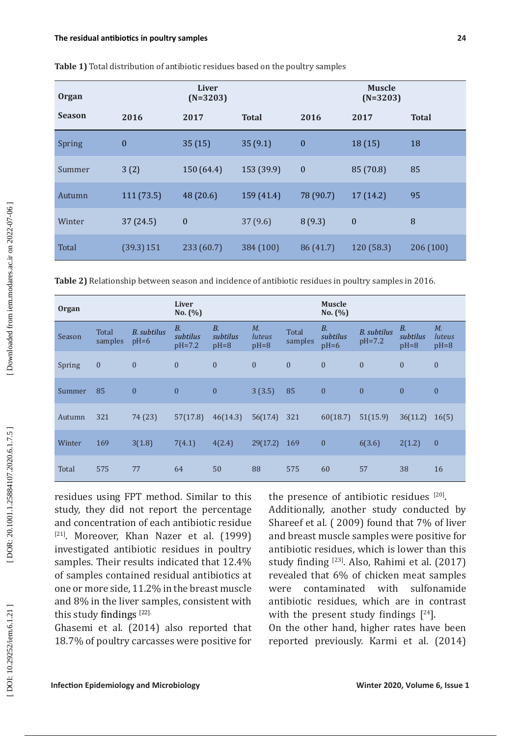| <b>Organ</b>  | <b>Liver</b><br>$(N=3203)$ |            |              | <b>Muscle</b><br>$(N=3203)$ |                  |              |  |
|---------------|----------------------------|------------|--------------|-----------------------------|------------------|--------------|--|
| <b>Season</b> | 2016                       | 2017       | <b>Total</b> | 2016                        | 2017             | <b>Total</b> |  |
| Spring        | $\boldsymbol{0}$           | 35(15)     | 35(9.1)      | $\boldsymbol{0}$            | 18(15)           | 18           |  |
| Summer        | 3(2)                       | 150 (64.4) | 153 (39.9)   | $\boldsymbol{0}$            | 85 (70.8)        | 85           |  |
| Autumn        | 111 (73.5)                 | 48 (20.6)  | 159 (41.4)   | 78 (90.7)                   | 17(14.2)         | 95           |  |
| Winter        | 37 (24.5)                  | $\bf{0}$   | 37(9.6)      | 8(9.3)                      | $\boldsymbol{0}$ | 8            |  |
| Total         | (39.3) 151                 | 233 (60.7) | 384 (100)    | 86 (41.7)                   | 120(58.3)        | 206 (100)    |  |

**Table 1)** Total distribution of antibiotic residues based on the poultry samples

**Table 2)** Relationship between season and incidence of antibiotic residues in poultry samples in 2016.

| <b>Organ</b> |                  |                       | <b>Liver</b><br>No. $(%)$           |                             |                                        |                  | <b>Muscle</b><br>No. $(%)$      |                         |                                 |                                        |
|--------------|------------------|-----------------------|-------------------------------------|-----------------------------|----------------------------------------|------------------|---------------------------------|-------------------------|---------------------------------|----------------------------------------|
| Season       | Total<br>samples | B. subtilus<br>$pH=6$ | <i>B.</i><br>subtilus<br>$pH = 7.2$ | $B$ .<br>subtilus<br>$pH=8$ | $M_{\cdot}$<br><i>luteus</i><br>$pH=8$ | Total<br>samples | <b>B.</b><br>subtilus<br>$pH=6$ | B. subtilus<br>$pH=7.2$ | <b>B.</b><br>subtilus<br>$pH=8$ | $M_{\cdot}$<br><i>luteus</i><br>$pH=8$ |
| Spring       | $\boldsymbol{0}$ | $\mathbf{0}$          | $\overline{0}$                      | $\theta$                    | $\mathbf{0}$                           | $\mathbf{0}$     | $\mathbf{0}$                    | $\mathbf{0}$            | $\theta$                        | $\mathbf{0}$                           |
| Summer       | 85               | $\mathbf{0}$          | $\mathbf{0}$                        | $\overline{0}$              | 3(3.5)                                 | 85               | $\overline{0}$                  | $\mathbf{0}$            | $\mathbf{0}$                    | $\mathbf{0}$                           |
| Autumn       | 321              | 74 (23)               | 57(17.8)                            | 46(14.3)                    | 56(17.4)                               | 321              | 60(18.7)                        | 51(15.9)                | 36(11.2)                        | 16(5)                                  |
| Winter       | 169              | 3(1.8)                | 7(4.1)                              | 4(2.4)                      | 29(17.2)                               | 169              | $\mathbf{0}$                    | 6(3.6)                  | 2(1.2)                          | $\mathbf{0}$                           |
| Total        | 575              | 77                    | 64                                  | 50                          | 88                                     | 575              | 60                              | 57                      | 38                              | 16                                     |

residues using FPT method. Similar to this study, they did not report the percentage and concentration of each antibiotic residue [21]. Moreover, Khan Nazer et al. (1999) investigated antibiotic residues in poultry samples. Their results indicated that 12.4% of samples contained residual antibiotics at one or more side, 11.2% in the breast muscle and 8% in the liver samples, consistent with this study findings [22].

Ghasemi et al. (2014) also reported that 18.7% of poultry carcasses were positive for

the presence of antibiotic residues  $[20]$ . Additionally, another study conducted by Shareef et al. ( 2009) found that 7% of liver and breast muscle samples were positive for antibiotic residues, which is lower than this study finding [23]. Also, Rahimi et al. (2017) revealed that 6% of chicken meat samples<br>were contaminated with sulfonamide were contaminated with sulfonamide antibiotic residues, which are in contrast with the present study findings  $[24]$ .

On the other hand, higher rates have been reported previously. Karmi et al. (2014)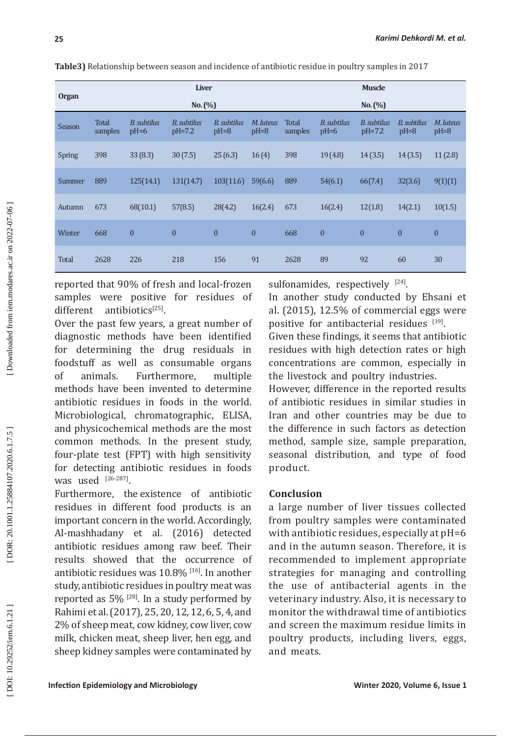|  |              |                  | <b>Liver</b>          |                         |                       |                     |                  |                       | <b>Muscle</b>           |                       |                     |  |
|--|--------------|------------------|-----------------------|-------------------------|-----------------------|---------------------|------------------|-----------------------|-------------------------|-----------------------|---------------------|--|
|  | <b>Organ</b> | No. (%)          |                       |                         |                       |                     |                  | No. (%)               |                         |                       |                     |  |
|  | Season       | Total<br>samples | B. subtilus<br>$pH=6$ | B. subtilus<br>$pH=7.2$ | B. subtilus<br>$pH=8$ | M. luteus<br>$pH=8$ | Total<br>samples | B. subtilus<br>$pH=6$ | B. subtilus<br>$pH=7.2$ | B. subtilus<br>$pH=8$ | M. luteus<br>$pH=8$ |  |
|  | Spring       | 398              | 33(8.3)               | 30(7.5)                 | 25(6.3)               | 16(4)               | 398              | 19(4.8)               | 14(3.5)                 | 14(3.5)               | 11(2.8)             |  |
|  | Summer       | 889              | 125(14.1)             | 131(14.7)               | 103(11.6)             | 59(6.6)             | 889              | 54(6.1)               | 66(7.4)                 | 32(3.6)               | 9(1)(1)             |  |
|  | Autumn       | 673              | 68(10.1)              | 57(8.5)                 | 28(4.2)               | 16(2.4)             | 673              | 16(2.4)               | 12(1.8)                 | 14(2.1)               | 10(1.5)             |  |
|  | Winter       | 668              | $\mathbf{0}$          | $\boldsymbol{0}$        | $\mathbf{0}$          | $\boldsymbol{0}$    | 668              | $\mathbf{0}$          | $\mathbf{0}$            | $\overline{0}$        | $\mathbf{0}$        |  |
|  | Total        | 2628             | 226                   | 218                     | 156                   | 91                  | 2628             | 89                    | 92                      | 60                    | 30                  |  |

**Table3)** Relationship between season and incidence of antibiotic residue in poultry samples in 2017

reported that 90% of fresh and local-frozen samples were positive for residues of different antibiotics<sup>[25]</sup>.

Over the past few years, a great number of diagnostic methods have been identified for determining the drug residuals in foodstuff as well as consumable organs of animals. Furthermore, multiple methods have been invented to determine antibiotic residues in foods in the world. Microbiological, chromatographic, ELISA, and physicochemical methods are the most common methods. In the present study, four-plate test (FPT) with high sensitivity for detecting antibiotic residues in foods was used  $^{[26-287]}$ .

Furthermore, the existence of antibiotic residues in different food products is an important concern in the world. Accordingly, Al-mashhadany et al. (2016) detected antibiotic residues among raw beef. Their results showed that the occurrence of antibiotic residues was 10.8% [16]. In another study, antibiotic residues in poultry meat was reported as  $5\%$  <sup>[28]</sup>. In a study performed by Rahimi et al. (2017), 25, 20, 12, 12, 6, 5, 4, and 2% of sheep meat, cow kidney, cow liver, cow milk, chicken meat, sheep liver, hen egg, and sheep kidney samples were contaminated by sulfonamides, respectively  $[24]$ .

In another study conducted by Ehsani et al. (2015), 12.5% of commercial eggs were positive for antibacterial residues  $[19]$ .

Given these findings, it seems that antibiotic residues with high detection rates or high concentrations are common, especially in the livestock and poultry industries.

However, difference in the reported results of antibiotic residues in similar studies in Iran and other countries may be due to the difference in such factors as detection method, sample size, sample preparation, seasonal distribution, and type of food product.

### **Conclusion**

a large number of liver tissues collected from poultry samples were contaminated with antibiotic residues, especially at pH=6 and in the autumn season. Therefore, it is recommended to implement appropriate strategies for managing and controlling the use of antibacterial agents in the veterinary industry. Also, it is necessary to monitor the withdrawal time of antibiotics and screen the maximum residue limits in poultry products, including livers, eggs, and meats.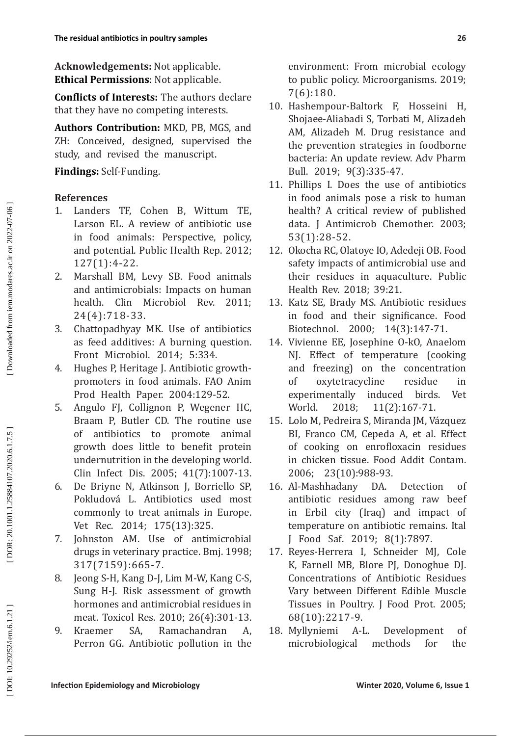**Acknowledgements:** Not applicable. **Ethical Permissions** : Not applicable.

**Conflicts of Interests:** The authors declare that they have no competing interests.

**Authors Contribution:** MKD, PB, MGS, and ZH: Conceived, designed, supervised the study, and revised the manuscript .

# **Findings:** Self-Funding.

## **References**

- 1. Landers TF, Cohen B, Wittum TE, Larson EL. A review of antibiotic use in food animals: Perspective, policy, and potential. Public Health Rep. 2012; 127(1):4-22.
- 2. Marshall BM, Levy SB. Food animals and antimicrobials: Impacts on human health. Clin Microbiol Rev. 2011; 24(4):718-33.
- 3. Chattopadhyay MK. Use of antibiotics as feed additives: A burning question. Front Microbiol. 2014; 5:334.
- 4. Hughes P, Heritage J. Antibiotic growthpromoters in food animals. FAO Anim Prod Health Paper. 2004:129-52.
- 5. Angulo FJ, Collignon P, Wegener HC, Braam P, Butler CD. The routine use of antibiotics to promote animal growth does little to benefit protein undernutrition in the developing world. Clin Infect Dis. 2005; 41(7):1007-13.
- 6. De Briyne N, Atkinson J, Borriello SP, Pokludová L. Antibiotics used most commonly to treat animals in Europe. Vet Rec. 2014; 175(13):325.
- 7. Johnston AM. Use of antimicrobial drugs in veterinary practice. Bmj. 1998; 317(7159):665-7.
- 8. Jeong S-H, Kang D-J, Lim M-W, Kang C-S, Sung H-J. Risk assessment of growth hormones and antimicrobial residues in meat. Toxicol Res. 2010; 26(4):301-13.
- 9. Kraemer SA, Ramachandran A, Perron GG. Antibiotic pollution in the

environment: From microbial ecology to public policy. Microorganisms. 2019; 7(6):180.

- 10. Hashempour-Baltork F, Hosseini H, Shojaee-Aliabadi S, Torbati M, Alizadeh AM, Alizadeh M. Drug resistance and the prevention strategies in foodborne bacteria: An update review. Adv Pharm Bull. 2019; 9(3):335-47.
- 11. Phillips I. Does the use of antibiotics in food animals pose a risk to human health? A critical review of published data. J Antimicrob Chemother. 2003; 53(1):28-52.
- 12. Okocha RC, Olatoye IO, Adedeji OB. Food safety impacts of antimicrobial use and their residues in aquaculture. Public Health Rev. 2018; 39:21.
- 13. Katz SE, Brady MS. Antibiotic residues in food and their significance. Food Biotechnol. 2000; 14(3):147-71.
- 14. Vivienne EE, Josephine O-kO, Anaelom NJ. Effect of temperature (cooking and freezing) on the concentration of oxytetracycline residue in experimentally induced birds. Vet<br>World. 2018: 11(2):167-71.  $11(2): 167-71.$
- 15. Lolo M, Pedreira S, Miranda JM, Vázquez BI, Franco CM, Cepeda A, et al. Effect of cooking on enrofloxacin residues in chicken tissue. Food Addit Contam. 2006; 23(10):988-93.
- 16. Al-Mashhadany DA. Detection of antibiotic residues among raw beef in Erbil city (Iraq) and impact of temperature on antibiotic remains. Ital J Food Saf. 2019; 8(1):7897.
- 17. Reyes-Herrera I, Schneider MJ, Cole K, Farnell MB, Blore PJ, Donoghue DJ. Concentrations of Antibiotic Residues Vary between Different Edible Muscle Tissues in Poultry. J Food Prot. 2005; 68(10):2217-9.
- 18. Myllyniemi A-L. Development of microbiological methods for the